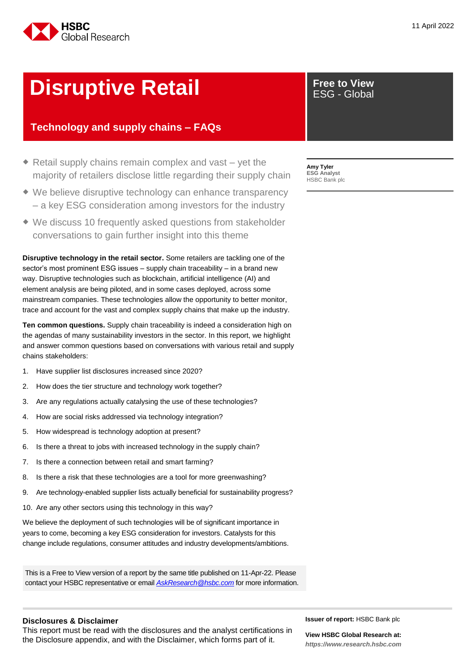

## **Disruptive Retail** Free to View

### **Technology and supply chains – FAQs**

- $\triangle$  Retail supply chains remain complex and vast  $-$  yet the majority of retailers disclose little regarding their supply chain
- We believe disruptive technology can enhance transparency – a key ESG consideration among investors for the industry
- We discuss 10 frequently asked questions from stakeholder conversations to gain further insight into this theme

**Disruptive technology in the retail sector.** Some retailers are tackling one of the sector's most prominent ESG issues – supply chain traceability – in a brand new way. Disruptive technologies such as blockchain, artificial intelligence (AI) and element analysis are being piloted, and in some cases deployed, across some mainstream companies. These technologies allow the opportunity to better monitor, trace and account for the vast and complex supply chains that make up the industry.

**Ten common questions.** Supply chain traceability is indeed a consideration high on the agendas of many sustainability investors in the sector. In this report, we highlight and answer common questions based on conversations with various retail and supply chains stakeholders:

- 1. Have supplier list disclosures increased since 2020?
- 2. How does the tier structure and technology work together?
- 3. Are any regulations actually catalysing the use of these technologies?
- 4. How are social risks addressed via technology integration?
- 5. How widespread is technology adoption at present?
- 6. Is there a threat to jobs with increased technology in the supply chain?
- 7. Is there a connection between retail and smart farming?
- 8. Is there a risk that these technologies are a tool for more greenwashing?
- 9. Are technology-enabled supplier lists actually beneficial for sustainability progress?
- 10. Are any other sectors using this technology in this way?

We believe the deployment of such technologies will be of significant importance in years to come, becoming a key ESG consideration for investors. Catalysts for this change include regulations, consumer attitudes and industry developments/ambitions.

This is a Free to View version of a report by the same title published on 11-Apr-22. Please contact your HSBC representative or email *[AskResearch@hsbc.com](mailto:AskResearch@hsbc.com)* for more information.

#### **Disclosures & Disclaimer**

This report must be read with the disclosures and the analyst certifications in the Disclosure appendix, and with the Disclaimer, which forms part of it.

**Issuer of report:** HSBC Bank plc

**View HSBC Global Research at:** *[https://www.research.hsbc.com](https://www.research.hsbc.com/)*

## ESG - Global

**Amy Tyler ESG Analyst** HSBC Bank plc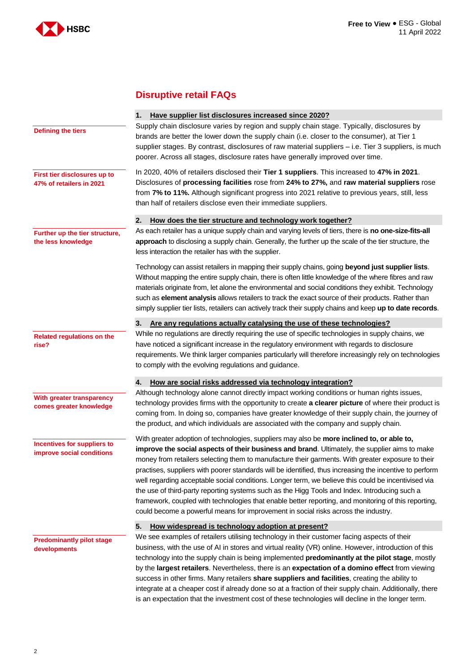

### **Disruptive retail FAQs**

|                                    | 1.<br>Have supplier list disclosures increased since 2020?                                                |
|------------------------------------|-----------------------------------------------------------------------------------------------------------|
|                                    | Supply chain disclosure varies by region and supply chain stage. Typically, disclosures by                |
| <b>Defining the tiers</b>          | brands are better the lower down the supply chain (i.e. closer to the consumer), at Tier 1                |
|                                    | supplier stages. By contrast, disclosures of raw material suppliers - i.e. Tier 3 suppliers, is much      |
|                                    | poorer. Across all stages, disclosure rates have generally improved over time.                            |
|                                    |                                                                                                           |
| First tier disclosures up to       | In 2020, 40% of retailers disclosed their Tier 1 suppliers. This increased to 47% in 2021.                |
| 47% of retailers in 2021           | Disclosures of processing facilities rose from 24% to 27%, and raw material suppliers rose                |
|                                    | from 7% to 11%. Although significant progress into 2021 relative to previous years, still, less           |
|                                    | than half of retailers disclose even their immediate suppliers.                                           |
|                                    |                                                                                                           |
|                                    | How does the tier structure and technology work together?<br>2.                                           |
| Further up the tier structure,     | As each retailer has a unique supply chain and varying levels of tiers, there is no one-size-fits-all     |
| the less knowledge                 | approach to disclosing a supply chain. Generally, the further up the scale of the tier structure, the     |
|                                    | less interaction the retailer has with the supplier.                                                      |
|                                    |                                                                                                           |
|                                    | Technology can assist retailers in mapping their supply chains, going beyond just supplier lists.         |
|                                    | Without mapping the entire supply chain, there is often little knowledge of the where fibres and raw      |
|                                    | materials originate from, let alone the environmental and social conditions they exhibit. Technology      |
|                                    | such as element analysis allows retailers to track the exact source of their products. Rather than        |
|                                    | simply supplier tier lists, retailers can actively track their supply chains and keep up to date records. |
|                                    | Are any regulations actually catalysing the use of these technologies?<br>3.                              |
| <b>Related regulations on the</b>  | While no regulations are directly requiring the use of specific technologies in supply chains, we         |
| rise?                              | have noticed a significant increase in the regulatory environment with regards to disclosure              |
|                                    | requirements. We think larger companies particularly will therefore increasingly rely on technologies     |
|                                    | to comply with the evolving regulations and guidance.                                                     |
|                                    |                                                                                                           |
|                                    | How are social risks addressed via technology integration?<br>4.                                          |
| With greater transparency          | Although technology alone cannot directly impact working conditions or human rights issues,               |
| comes greater knowledge            | technology provides firms with the opportunity to create a clearer picture of where their product is      |
|                                    | coming from. In doing so, companies have greater knowledge of their supply chain, the journey of          |
|                                    | the product, and which individuals are associated with the company and supply chain.                      |
|                                    |                                                                                                           |
| <b>Incentives for suppliers to</b> | With greater adoption of technologies, suppliers may also be more inclined to, or able to,                |
| improve social conditions          | improve the social aspects of their business and brand. Ultimately, the supplier aims to make             |
|                                    | money from retailers selecting them to manufacture their garments. With greater exposure to their         |
|                                    | practises, suppliers with poorer standards will be identified, thus increasing the incentive to perform   |
|                                    | well regarding acceptable social conditions. Longer term, we believe this could be incentivised via       |
|                                    | the use of third-party reporting systems such as the Higg Tools and Index. Introducing such a             |
|                                    | framework, coupled with technologies that enable better reporting, and monitoring of this reporting,      |
|                                    | could become a powerful means for improvement in social risks across the industry.                        |
|                                    |                                                                                                           |
|                                    | 5.<br>How widespread is technology adoption at present?                                                   |
| <b>Predominantly pilot stage</b>   | We see examples of retailers utilising technology in their customer facing aspects of their               |
| developments                       | business, with the use of AI in stores and virtual reality (VR) online. However, introduction of this     |
|                                    | technology into the supply chain is being implemented predominantly at the pilot stage, mostly            |
|                                    | by the largest retailers. Nevertheless, there is an expectation of a domino effect from viewing           |
|                                    | success in other firms. Many retailers share suppliers and facilities, creating the ability to            |
|                                    | integrate at a cheaper cost if already done so at a fraction of their supply chain. Additionally, there   |

is an expectation that the investment cost of these technologies will decline in the longer term.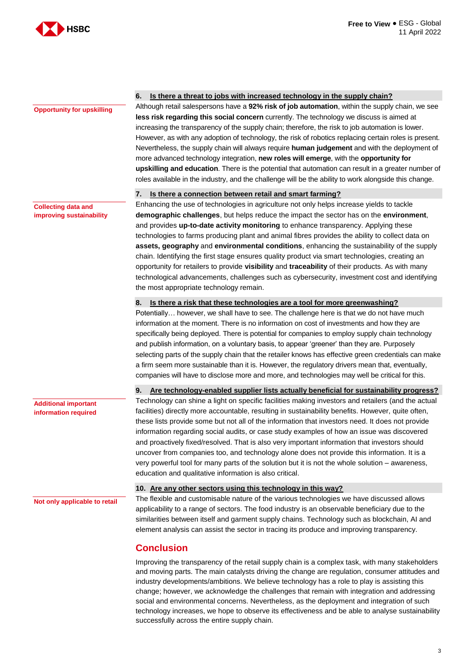

**Opportunity for upskilling**

#### **6. Is there a threat to jobs with increased technology in the supply chain?**

Although retail salespersons have a **92% risk of job automation**, within the supply chain, we see **less risk regarding this social concern** currently. The technology we discuss is aimed at increasing the transparency of the supply chain; therefore, the risk to job automation is lower. However, as with any adoption of technology, the risk of robotics replacing certain roles is present. Nevertheless, the supply chain will always require **human judgement** and with the deployment of more advanced technology integration, **new roles will emerge**, with the **opportunity for upskilling and education**. There is the potential that automation can result in a greater number of roles available in the industry, and the challenge will be the ability to work alongside this change.

#### **7. Is there a connection between retail and smart farming?**

Enhancing the use of technologies in agriculture not only helps increase yields to tackle **demographic challenges**, but helps reduce the impact the sector has on the **environment**, and provides **up-to-date activity monitoring** to enhance transparency. Applying these technologies to farms producing plant and animal fibres provides the ability to collect data on **assets, geography** and **environmental conditions**, enhancing the sustainability of the supply chain. Identifying the first stage ensures quality product via smart technologies, creating an opportunity for retailers to provide **visibility** and **traceability** of their products. As with many technological advancements, challenges such as cybersecurity, investment cost and identifying the most appropriate technology remain.

#### **8. Is there a risk that these technologies are a tool for more greenwashing?**

Potentially… however, we shall have to see. The challenge here is that we do not have much information at the moment. There is no information on cost of investments and how they are specifically being deployed. There is potential for companies to employ supply chain technology and publish information, on a voluntary basis, to appear 'greener' than they are. Purposely selecting parts of the supply chain that the retailer knows has effective green credentials can make a firm seem more sustainable than it is. However, the regulatory drivers mean that, eventually, companies will have to disclose more and more, and technologies may well be critical for this.

#### **9. Are technology-enabled supplier lists actually beneficial for sustainability progress?**

Technology can shine a light on specific facilities making investors and retailers (and the actual facilities) directly more accountable, resulting in sustainability benefits. However, quite often, these lists provide some but not all of the information that investors need. It does not provide information regarding social audits, or case study examples of how an issue was discovered and proactively fixed/resolved. That is also very important information that investors should uncover from companies too, and technology alone does not provide this information. It is a very powerful tool for many parts of the solution but it is not the whole solution – awareness, education and qualitative information is also critical.

#### **10. Are any other sectors using this technology in this way?**

The flexible and customisable nature of the various technologies we have discussed allows applicability to a range of sectors. The food industry is an observable beneficiary due to the similarities between itself and garment supply chains. Technology such as blockchain, AI and element analysis can assist the sector in tracing its produce and improving transparency.

#### **Conclusion**

Improving the transparency of the retail supply chain is a complex task, with many stakeholders and moving parts. The main catalysts driving the change are regulation, consumer attitudes and industry developments/ambitions. We believe technology has a role to play is assisting this change; however, we acknowledge the challenges that remain with integration and addressing social and environmental concerns. Nevertheless, as the deployment and integration of such technology increases, we hope to observe its effectiveness and be able to analyse sustainability successfully across the entire supply chain.

**Collecting data and improving sustainability**

**Additional important information required**

**Not only applicable to retail**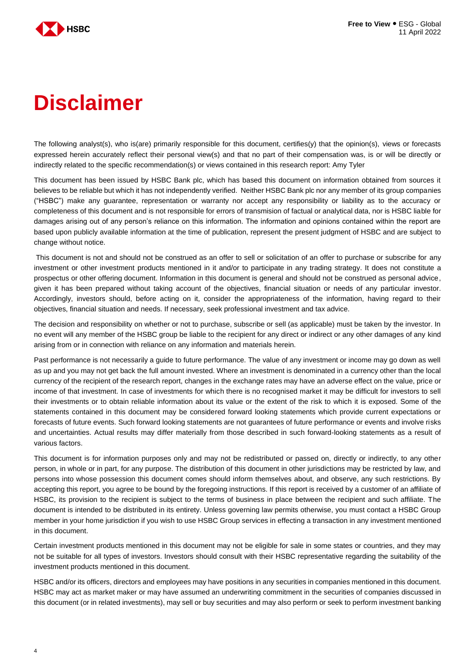

# **Disclaimer**

The following analyst(s), who is(are) primarily responsible for this document, certifies(y) that the opinion(s), views or forecasts expressed herein accurately reflect their personal view(s) and that no part of their compensation was, is or will be directly or indirectly related to the specific recommendation(s) or views contained in this research report: Amy Tyler

This document has been issued by HSBC Bank plc, which has based this document on information obtained from sources it believes to be reliable but which it has not independently verified. Neither HSBC Bank plc nor any member of its group companies ("HSBC") make any guarantee, representation or warranty nor accept any responsibility or liability as to the accuracy or completeness of this document and is not responsible for errors of transmision of factual or analytical data, nor is HSBC liable for damages arising out of any person's reliance on this information. The information and opinions contained within the report are based upon publicly available information at the time of publication, represent the present judgment of HSBC and are subject to change without notice.

This document is not and should not be construed as an offer to sell or solicitation of an offer to purchase or subscribe for any investment or other investment products mentioned in it and/or to participate in any trading strategy. It does not constitute a prospectus or other offering document. Information in this document is general and should not be construed as personal advice, given it has been prepared without taking account of the objectives, financial situation or needs of any particular investor. Accordingly, investors should, before acting on it, consider the appropriateness of the information, having regard to their objectives, financial situation and needs. If necessary, seek professional investment and tax advice.

The decision and responsibility on whether or not to purchase, subscribe or sell (as applicable) must be taken by the investor. In no event will any member of the HSBC group be liable to the recipient for any direct or indirect or any other damages of any kind arising from or in connection with reliance on any information and materials herein.

Past performance is not necessarily a guide to future performance. The value of any investment or income may go down as well as up and you may not get back the full amount invested. Where an investment is denominated in a currency other than the local currency of the recipient of the research report, changes in the exchange rates may have an adverse effect on the value, price or income of that investment. In case of investments for which there is no recognised market it may be difficult for investors to sell their investments or to obtain reliable information about its value or the extent of the risk to which it is exposed. Some of the statements contained in this document may be considered forward looking statements which provide current expectations or forecasts of future events. Such forward looking statements are not guarantees of future performance or events and involve risks and uncertainties. Actual results may differ materially from those described in such forward-looking statements as a result of various factors.

This document is for information purposes only and may not be redistributed or passed on, directly or indirectly, to any other person, in whole or in part, for any purpose. The distribution of this document in other jurisdictions may be restricted by law, and persons into whose possession this document comes should inform themselves about, and observe, any such restrictions. By accepting this report, you agree to be bound by the foregoing instructions. If this report is received by a customer of an affiliate of HSBC, its provision to the recipient is subject to the terms of business in place between the recipient and such affiliate. The document is intended to be distributed in its entirety. Unless governing law permits otherwise, you must contact a HSBC Group member in your home jurisdiction if you wish to use HSBC Group services in effecting a transaction in any investment mentioned in this document.

Certain investment products mentioned in this document may not be eligible for sale in some states or countries, and they may not be suitable for all types of investors. Investors should consult with their HSBC representative regarding the suitability of the investment products mentioned in this document.

HSBC and/or its officers, directors and employees may have positions in any securities in companies mentioned in this document. HSBC may act as market maker or may have assumed an underwriting commitment in the securities of companies discussed in this document (or in related investments), may sell or buy securities and may also perform or seek to perform investment banking